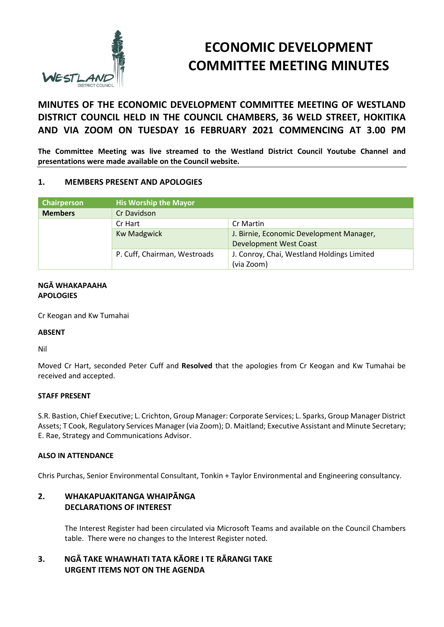

# **ECONOMIC DEVELOPMENT COMMITTEE MEETING MINUTES**

# **MINUTES OF THE ECONOMIC DEVELOPMENT COMMITTEE MEETING OF WESTLAND DISTRICT COUNCIL HELD IN THE COUNCIL CHAMBERS, 36 WELD STREET, HOKITIKA AND VIA ZOOM ON TUESDAY 16 FEBRUARY 2021 COMMENCING AT 3.00 PM**

**The Committee Meeting was live streamed to the Westland District Council Youtube Channel and presentations were made available on the Council website.** 

#### **1. MEMBERS PRESENT AND APOLOGIES**

| Chairperson    | <b>His Worship the Mayor</b> |                                            |  |
|----------------|------------------------------|--------------------------------------------|--|
| <b>Members</b> | Cr Davidson                  |                                            |  |
|                | Cr Hart                      | Cr Martin                                  |  |
|                | <b>Kw Madgwick</b>           | J. Birnie, Economic Development Manager,   |  |
|                |                              | <b>Development West Coast</b>              |  |
|                | P. Cuff, Chairman, Westroads | J. Conroy, Chai, Westland Holdings Limited |  |
|                |                              | (via Zoom)                                 |  |

#### **NGĀ WHAKAPAAHA APOLOGIES**

Cr Keogan and Kw Tumahai

#### **ABSENT**

Nil

Moved Cr Hart, seconded Peter Cuff and **Resolved** that the apologies from Cr Keogan and Kw Tumahai be received and accepted.

#### **STAFF PRESENT**

S.R. Bastion, Chief Executive; L. Crichton, Group Manager: Corporate Services; L. Sparks, Group Manager District Assets; T Cook, Regulatory Services Manager (via Zoom); D. Maitland; Executive Assistant and Minute Secretary; E. Rae, Strategy and Communications Advisor.

#### **ALSO IN ATTENDANCE**

Chris Purchas, Senior Environmental Consultant, Tonkin + Taylor Environmental and Engineering consultancy.

# **2. WHAKAPUAKITANGA WHAIPĀNGA DECLARATIONS OF INTEREST**

The Interest Register had been circulated via Microsoft Teams and available on the Council Chambers table. There were no changes to the Interest Register noted.

# **3. NGĀ TAKE WHAWHATI TATA KĀORE I TE RĀRANGI TAKE URGENT ITEMS NOT ON THE AGENDA**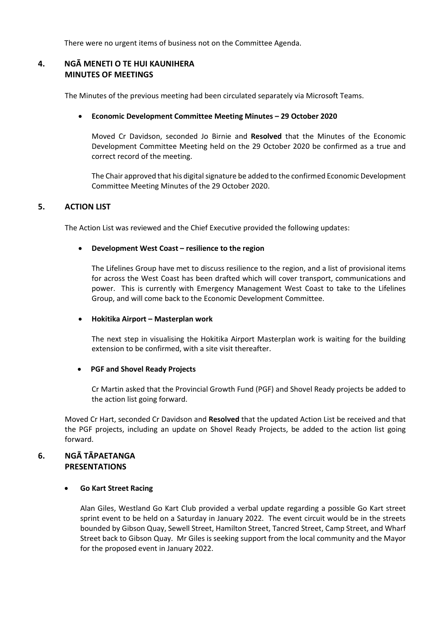There were no urgent items of business not on the Committee Agenda.

# **4. NGĀ MENETI O TE HUI KAUNIHERA MINUTES OF MEETINGS**

The Minutes of the previous meeting had been circulated separately via Microsoft Teams.

#### **Economic Development Committee Meeting Minutes – 29 October 2020**

Moved Cr Davidson, seconded Jo Birnie and **Resolved** that the Minutes of the Economic Development Committee Meeting held on the 29 October 2020 be confirmed as a true and correct record of the meeting.

The Chair approved that his digital signature be added to the confirmed Economic Development Committee Meeting Minutes of the 29 October 2020.

#### **5. ACTION LIST**

The Action List was reviewed and the Chief Executive provided the following updates:

#### **Development West Coast – resilience to the region**

The Lifelines Group have met to discuss resilience to the region, and a list of provisional items for across the West Coast has been drafted which will cover transport, communications and power. This is currently with Emergency Management West Coast to take to the Lifelines Group, and will come back to the Economic Development Committee.

#### **Hokitika Airport – Masterplan work**

The next step in visualising the Hokitika Airport Masterplan work is waiting for the building extension to be confirmed, with a site visit thereafter.

#### **PGF and Shovel Ready Projects**

Cr Martin asked that the Provincial Growth Fund (PGF) and Shovel Ready projects be added to the action list going forward.

Moved Cr Hart, seconded Cr Davidson and **Resolved** that the updated Action List be received and that the PGF projects, including an update on Shovel Ready Projects, be added to the action list going forward.

#### **6. NGĀ TĀPAETANGA PRESENTATIONS**

#### **Go Kart Street Racing**

Alan Giles, Westland Go Kart Club provided a verbal update regarding a possible Go Kart street sprint event to be held on a Saturday in January 2022. The event circuit would be in the streets bounded by Gibson Quay, Sewell Street, Hamilton Street, Tancred Street, Camp Street, and Wharf Street back to Gibson Quay. Mr Giles is seeking support from the local community and the Mayor for the proposed event in January 2022.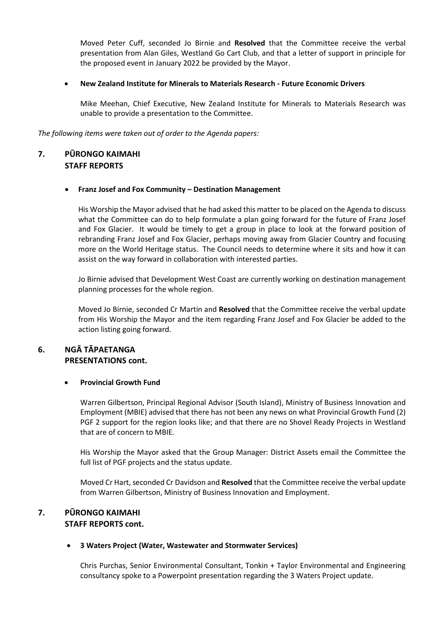Moved Peter Cuff, seconded Jo Birnie and **Resolved** that the Committee receive the verbal presentation from Alan Giles, Westland Go Cart Club, and that a letter of support in principle for the proposed event in January 2022 be provided by the Mayor.

#### **New Zealand Institute for Minerals to Materials Research - Future Economic Drivers**

Mike Meehan, Chief Executive, New Zealand Institute for Minerals to Materials Research was unable to provide a presentation to the Committee.

*The following items were taken out of order to the Agenda papers:* 

# **7. PŪRONGO KAIMAHI STAFF REPORTS**

#### **Franz Josef and Fox Community – Destination Management**

His Worship the Mayor advised that he had asked this matter to be placed on the Agenda to discuss what the Committee can do to help formulate a plan going forward for the future of Franz Josef and Fox Glacier. It would be timely to get a group in place to look at the forward position of rebranding Franz Josef and Fox Glacier, perhaps moving away from Glacier Country and focusing more on the World Heritage status. The Council needs to determine where it sits and how it can assist on the way forward in collaboration with interested parties.

Jo Birnie advised that Development West Coast are currently working on destination management planning processes for the whole region.

Moved Jo Birnie, seconded Cr Martin and **Resolved** that the Committee receive the verbal update from His Worship the Mayor and the item regarding Franz Josef and Fox Glacier be added to the action listing going forward.

# **6. NGĀ TĀPAETANGA PRESENTATIONS cont.**

#### **Provincial Growth Fund**

Warren Gilbertson, Principal Regional Advisor (South Island), Ministry of Business Innovation and Employment (MBIE) advised that there has not been any news on what Provincial Growth Fund (2) PGF 2 support for the region looks like; and that there are no Shovel Ready Projects in Westland that are of concern to MBIE.

His Worship the Mayor asked that the Group Manager: District Assets email the Committee the full list of PGF projects and the status update.

Moved Cr Hart, seconded Cr Davidson and **Resolved** that the Committee receive the verbal update from Warren Gilbertson, Ministry of Business Innovation and Employment.

### **7. PŪRONGO KAIMAHI STAFF REPORTS cont.**

#### **3 Waters Project (Water, Wastewater and Stormwater Services)**

Chris Purchas, Senior Environmental Consultant, Tonkin + Taylor Environmental and Engineering consultancy spoke to a Powerpoint presentation regarding the 3 Waters Project update.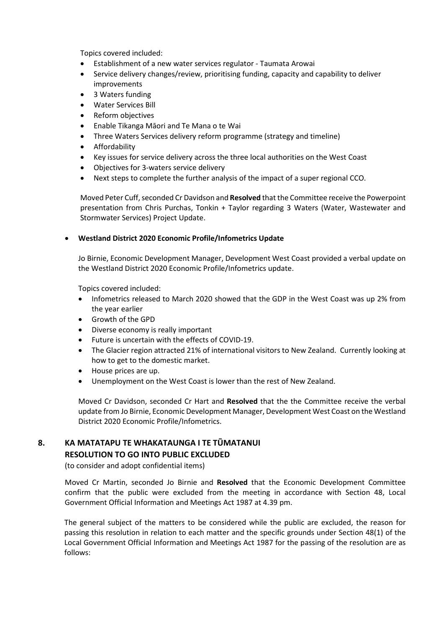Topics covered included:

- Establishment of a new water services regulator Taumata Arowai
- Service delivery changes/review, prioritising funding, capacity and capability to deliver improvements
- 3 Waters funding
- Water Services Bill
- Reform objectives
- Enable Tikanga Māori and Te Mana o te Wai
- Three Waters Services delivery reform programme (strategy and timeline)
- **•** Affordability
- Key issues for service delivery across the three local authorities on the West Coast
- Objectives for 3-waters service delivery
- Next steps to complete the further analysis of the impact of a super regional CCO.

Moved Peter Cuff, seconded Cr Davidson and **Resolved** that the Committee receive the Powerpoint presentation from Chris Purchas, Tonkin + Taylor regarding 3 Waters (Water, Wastewater and Stormwater Services) Project Update.

#### **Westland District 2020 Economic Profile/Infometrics Update**

Jo Birnie, Economic Development Manager, Development West Coast provided a verbal update on the Westland District 2020 Economic Profile/Infometrics update.

Topics covered included:

- Infometrics released to March 2020 showed that the GDP in the West Coast was up 2% from the year earlier
- Growth of the GPD
- Diverse economy is really important
- Future is uncertain with the effects of COVID-19.
- The Glacier region attracted 21% of international visitors to New Zealand. Currently looking at how to get to the domestic market.
- House prices are up.
- Unemployment on the West Coast is lower than the rest of New Zealand.

Moved Cr Davidson, seconded Cr Hart and **Resolved** that the the Committee receive the verbal update from Jo Birnie, Economic Development Manager, Development West Coast on the Westland District 2020 Economic Profile/Infometrics.

# **8. KA MATATAPU TE WHAKATAUNGA I TE TŪMATANUI RESOLUTION TO GO INTO PUBLIC EXCLUDED**

(to consider and adopt confidential items)

 Moved Cr Martin, seconded Jo Birnie and **Resolved** that the Economic Development Committee confirm that the public were excluded from the meeting in accordance with Section 48, Local Government Official Information and Meetings Act 1987 at 4.39 pm.

The general subject of the matters to be considered while the public are excluded, the reason for passing this resolution in relation to each matter and the specific grounds under Section 48(1) of the Local Government Official Information and Meetings Act 1987 for the passing of the resolution are as follows: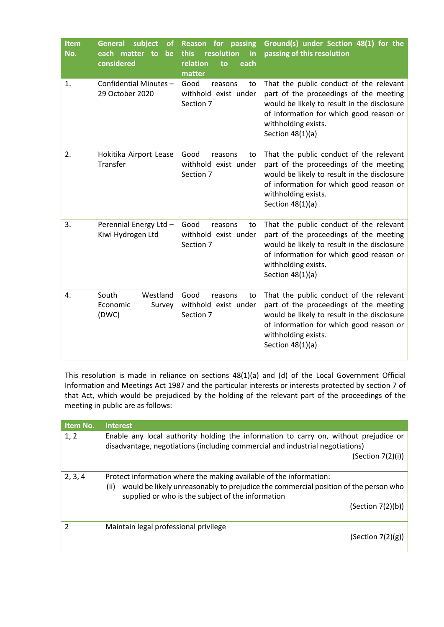| <b>Item</b><br>No. | subject<br><b>General</b><br><b>of</b><br>each matter<br>to<br>be<br>considered | for passing<br><b>Reason</b><br>this<br>resolution<br>in<br>relation<br>each<br>to<br>matter | Ground(s) under Section 48(1) for the<br>passing of this resolution                                                                                                                                                      |
|--------------------|---------------------------------------------------------------------------------|----------------------------------------------------------------------------------------------|--------------------------------------------------------------------------------------------------------------------------------------------------------------------------------------------------------------------------|
| 1.                 | Confidential Minutes-<br>29 October 2020                                        | Good<br>reasons<br>to<br>withhold exist under<br>Section 7                                   | That the public conduct of the relevant<br>part of the proceedings of the meeting<br>would be likely to result in the disclosure<br>of information for which good reason or<br>withholding exists.<br>Section $48(1)(a)$ |
| 2.                 | Hokitika Airport Lease<br>Transfer                                              | Good<br>reasons<br>to<br>withhold exist under<br>Section 7                                   | That the public conduct of the relevant<br>part of the proceedings of the meeting<br>would be likely to result in the disclosure<br>of information for which good reason or<br>withholding exists.<br>Section $48(1)(a)$ |
| 3.                 | Perennial Energy Ltd -<br>Kiwi Hydrogen Ltd                                     | Good<br>reasons<br>to<br>withhold exist under<br>Section 7                                   | That the public conduct of the relevant<br>part of the proceedings of the meeting<br>would be likely to result in the disclosure<br>of information for which good reason or<br>withholding exists.<br>Section $48(1)(a)$ |
| 4.                 | South<br>Westland<br>Economic<br>Survey<br>(DWC)                                | Good<br>reasons<br>to<br>withhold exist under<br>Section 7                                   | That the public conduct of the relevant<br>part of the proceedings of the meeting<br>would be likely to result in the disclosure<br>of information for which good reason or<br>withholding exists.<br>Section $48(1)(a)$ |

This resolution is made in reliance on sections 48(1)(a) and (d) of the Local Government Official Information and Meetings Act 1987 and the particular interests or interests protected by section 7 of that Act, which would be prejudiced by the holding of the relevant part of the proceedings of the meeting in public are as follows:

| <b>Item No.</b> | <b>Interest</b>                                                                                                                                                                                                                             |
|-----------------|---------------------------------------------------------------------------------------------------------------------------------------------------------------------------------------------------------------------------------------------|
| 1, 2            | Enable any local authority holding the information to carry on, without prejudice or<br>disadvantage, negotiations (including commercial and industrial negotiations)<br>(Section 7(2)(i))                                                  |
| 2, 3, 4         | Protect information where the making available of the information:<br>would be likely unreasonably to prejudice the commercial position of the person who<br>(ii)<br>supplied or who is the subject of the information<br>(Section 7(2)(b)) |
| 2               | Maintain legal professional privilege<br>(Section 7(2)(g))                                                                                                                                                                                  |